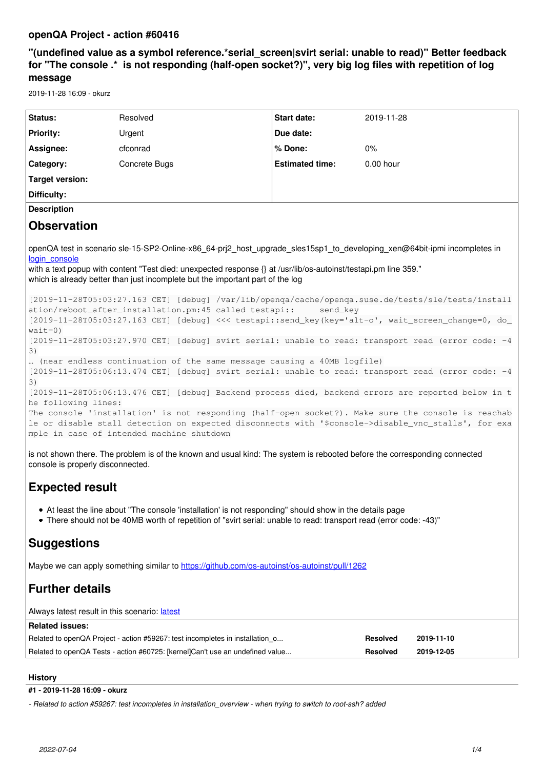# **openQA Project - action #60416**

# **"(undefined value as a symbol reference.\*serial\_screen|svirt serial: unable to read)" Better feedback for "The console .\* is not responding (half-open socket?)", very big log files with repetition of log message**

2019-11-28 16:09 - okurz

| Status:                                                                                                                                                                                                                                                                                                                                                                                                                                                                                                                                                                                                                                                                                                                                                                                                                                                                                                                                                                                                                                                                                                                                                                                                                                                                                                                                                                                                                                                                                                  | Resolved                                                                      | Start date:            | 2019-11-28      |            |
|----------------------------------------------------------------------------------------------------------------------------------------------------------------------------------------------------------------------------------------------------------------------------------------------------------------------------------------------------------------------------------------------------------------------------------------------------------------------------------------------------------------------------------------------------------------------------------------------------------------------------------------------------------------------------------------------------------------------------------------------------------------------------------------------------------------------------------------------------------------------------------------------------------------------------------------------------------------------------------------------------------------------------------------------------------------------------------------------------------------------------------------------------------------------------------------------------------------------------------------------------------------------------------------------------------------------------------------------------------------------------------------------------------------------------------------------------------------------------------------------------------|-------------------------------------------------------------------------------|------------------------|-----------------|------------|
| <b>Priority:</b>                                                                                                                                                                                                                                                                                                                                                                                                                                                                                                                                                                                                                                                                                                                                                                                                                                                                                                                                                                                                                                                                                                                                                                                                                                                                                                                                                                                                                                                                                         | Urgent                                                                        | Due date:              |                 |            |
| Assignee:                                                                                                                                                                                                                                                                                                                                                                                                                                                                                                                                                                                                                                                                                                                                                                                                                                                                                                                                                                                                                                                                                                                                                                                                                                                                                                                                                                                                                                                                                                | cfconrad                                                                      | % Done:                | 0%              |            |
| Category:                                                                                                                                                                                                                                                                                                                                                                                                                                                                                                                                                                                                                                                                                                                                                                                                                                                                                                                                                                                                                                                                                                                                                                                                                                                                                                                                                                                                                                                                                                | Concrete Bugs                                                                 | <b>Estimated time:</b> | $0.00$ hour     |            |
| <b>Target version:</b>                                                                                                                                                                                                                                                                                                                                                                                                                                                                                                                                                                                                                                                                                                                                                                                                                                                                                                                                                                                                                                                                                                                                                                                                                                                                                                                                                                                                                                                                                   |                                                                               |                        |                 |            |
| Difficulty:                                                                                                                                                                                                                                                                                                                                                                                                                                                                                                                                                                                                                                                                                                                                                                                                                                                                                                                                                                                                                                                                                                                                                                                                                                                                                                                                                                                                                                                                                              |                                                                               |                        |                 |            |
| <b>Description</b>                                                                                                                                                                                                                                                                                                                                                                                                                                                                                                                                                                                                                                                                                                                                                                                                                                                                                                                                                                                                                                                                                                                                                                                                                                                                                                                                                                                                                                                                                       |                                                                               |                        |                 |            |
| <b>Observation</b>                                                                                                                                                                                                                                                                                                                                                                                                                                                                                                                                                                                                                                                                                                                                                                                                                                                                                                                                                                                                                                                                                                                                                                                                                                                                                                                                                                                                                                                                                       |                                                                               |                        |                 |            |
| openQA test in scenario sle-15-SP2-Online-x86_64-prj2_host_upgrade_sles15sp1_to_developing_xen@64bit-ipmi incompletes in<br>login console<br>with a text popup with content "Test died: unexpected response {} at /usr/lib/os-autoinst/testapi.pm line 359."<br>which is already better than just incomplete but the important part of the log<br>[2019-11-28T05:03:27.163 CET] [debug] /var/lib/openqa/cache/openqa.suse.de/tests/sle/tests/install<br>ation/reboot_after_installation.pm:45 called testapi::<br>send_key<br>[2019-11-28T05:03:27.163 CET] [debug] <<< testapi::send_key(key='alt-o', wait_screen_change=0, do_<br>$wait=0)$<br>[2019-11-28T05:03:27.970 CET] [debug] svirt serial: unable to read: transport read (error code: -4<br>3)<br>(near endless continuation of the same message causing a 40MB logfile)<br>[2019-11-28T05:06:13.474 CET] [debug] svirt serial: unable to read: transport read (error code: -4<br>3)<br>[2019-11-28T05:06:13.476 CET] [debug] Backend process died, backend errors are reported below in t<br>he following lines:<br>The console 'installation' is not responding (half-open socket?). Make sure the console is reachab<br>le or disable stall detection on expected disconnects with '\$console->disable_vnc_stalls', for exa<br>mple in case of intended machine shutdown<br>is not shown there. The problem is of the known and usual kind: The system is rebooted before the corresponding connected<br>console is properly disconnected. |                                                                               |                        |                 |            |
| <b>Expected result</b>                                                                                                                                                                                                                                                                                                                                                                                                                                                                                                                                                                                                                                                                                                                                                                                                                                                                                                                                                                                                                                                                                                                                                                                                                                                                                                                                                                                                                                                                                   |                                                                               |                        |                 |            |
| • At least the line about "The console 'installation' is not responding" should show in the details page<br>There should not be 40MB worth of repetition of "svirt serial: unable to read: transport read (error code: -43)"                                                                                                                                                                                                                                                                                                                                                                                                                                                                                                                                                                                                                                                                                                                                                                                                                                                                                                                                                                                                                                                                                                                                                                                                                                                                             |                                                                               |                        |                 |            |
| <b>Suggestions</b>                                                                                                                                                                                                                                                                                                                                                                                                                                                                                                                                                                                                                                                                                                                                                                                                                                                                                                                                                                                                                                                                                                                                                                                                                                                                                                                                                                                                                                                                                       |                                                                               |                        |                 |            |
| Maybe we can apply something similar to https://github.com/os-autoinst/os-autoinst/pull/1262                                                                                                                                                                                                                                                                                                                                                                                                                                                                                                                                                                                                                                                                                                                                                                                                                                                                                                                                                                                                                                                                                                                                                                                                                                                                                                                                                                                                             |                                                                               |                        |                 |            |
| <b>Further details</b>                                                                                                                                                                                                                                                                                                                                                                                                                                                                                                                                                                                                                                                                                                                                                                                                                                                                                                                                                                                                                                                                                                                                                                                                                                                                                                                                                                                                                                                                                   |                                                                               |                        |                 |            |
| Always latest result in this scenario: latest                                                                                                                                                                                                                                                                                                                                                                                                                                                                                                                                                                                                                                                                                                                                                                                                                                                                                                                                                                                                                                                                                                                                                                                                                                                                                                                                                                                                                                                            |                                                                               |                        |                 |            |
| <b>Related issues:</b>                                                                                                                                                                                                                                                                                                                                                                                                                                                                                                                                                                                                                                                                                                                                                                                                                                                                                                                                                                                                                                                                                                                                                                                                                                                                                                                                                                                                                                                                                   |                                                                               |                        |                 |            |
|                                                                                                                                                                                                                                                                                                                                                                                                                                                                                                                                                                                                                                                                                                                                                                                                                                                                                                                                                                                                                                                                                                                                                                                                                                                                                                                                                                                                                                                                                                          | Related to openQA Project - action #59267: test incompletes in installation o |                        | <b>Resolved</b> | 2019-11-10 |
| Related to openQA Tests - action #60725: [kernel]Can't use an undefined value<br><b>Resolved</b><br>2019-12-05                                                                                                                                                                                                                                                                                                                                                                                                                                                                                                                                                                                                                                                                                                                                                                                                                                                                                                                                                                                                                                                                                                                                                                                                                                                                                                                                                                                           |                                                                               |                        |                 |            |

# **History**

# **#1 - 2019-11-28 16:09 - okurz**

*- Related to action #59267: test incompletes in installation\_overview - when trying to switch to root-ssh? added*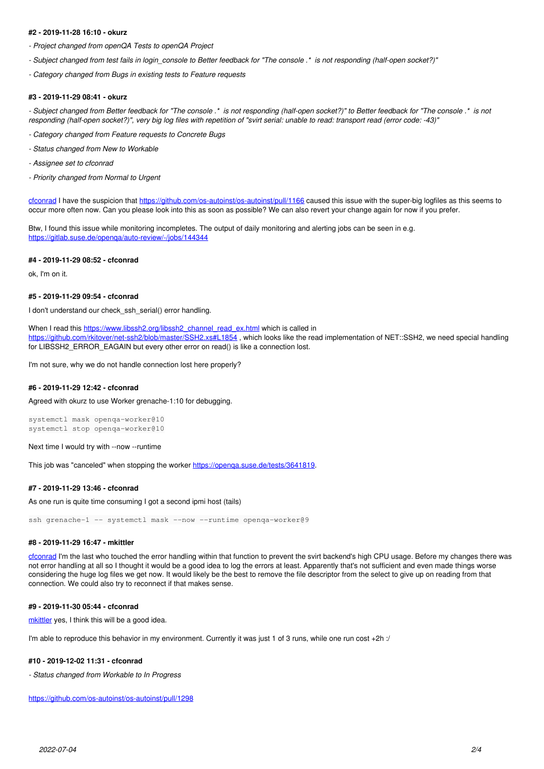## **#2 - 2019-11-28 16:10 - okurz**

*- Project changed from openQA Tests to openQA Project*

*- Subject changed from test fails in login\_console to Better feedback for "The console .\* is not responding (half-open socket?)"*

*- Category changed from Bugs in existing tests to Feature requests*

#### **#3 - 2019-11-29 08:41 - okurz**

*- Subject changed from Better feedback for "The console .\* is not responding (half-open socket?)" to Better feedback for "The console .\* is not responding (half-open socket?)", very big log files with repetition of "svirt serial: unable to read: transport read (error code: -43)"*

- *Category changed from Feature requests to Concrete Bugs*
- *Status changed from New to Workable*
- *Assignee set to cfconrad*
- *Priority changed from Normal to Urgent*

[cfconrad](progress.opensuse.org/users/30028) I have the suspicion that <https://github.com/os-autoinst/os-autoinst/pull/1166> caused this issue with the super-big logfiles as this seems to occur more often now. Can you please look into this as soon as possible? We can also revert your change again for now if you prefer.

Btw, I found this issue while monitoring incompletes. The output of daily monitoring and alerting jobs can be seen in e.g. <https://gitlab.suse.de/openqa/auto-review/-/jobs/144344>

#### **#4 - 2019-11-29 08:52 - cfconrad**

ok, I'm on it.

## **#5 - 2019-11-29 09:54 - cfconrad**

I don't understand our check ssh\_serial() error handling.

When I read this [https://www.libssh2.org/libssh2\\_channel\\_read\\_ex.html](https://www.libssh2.org/libssh2_channel_read_ex.html) which is called in <https://github.com/rkitover/net-ssh2/blob/master/SSH2.xs#L1854>, which looks like the read implementation of NET::SSH2, we need special handling for LIBSSH2\_ERROR\_EAGAIN but every other error on read() is like a connection lost.

I'm not sure, why we do not handle connection lost here properly?

# **#6 - 2019-11-29 12:42 - cfconrad**

Agreed with okurz to use Worker grenache-1:10 for debugging.

systemctl mask openqa-worker@10 systemctl stop openqa-worker@10

Next time I would try with --now --runtime

This job was "canceled" when stopping the worker https://openga.suse.de/tests/3641819.

# **#7 - 2019-11-29 13:46 - cfconrad**

As one run is quite time consuming I got a second ipmi host (tails)

ssh grenache-1 -- systemctl mask --now --runtime openqa-worker@9

## **#8 - 2019-11-29 16:47 - mkittler**

[cfconrad](progress.opensuse.org/users/30028) I'm the last who touched the error handling within that function to prevent the svirt backend's high CPU usage. Before my changes there was not error handling at all so I thought it would be a good idea to log the errors at least. Apparently that's not sufficient and even made things worse considering the huge log files we get now. It would likely be the best to remove the file descriptor from the select to give up on reading from that connection. We could also try to reconnect if that makes sense.

# **#9 - 2019-11-30 05:44 - cfconrad**

[mkittler](progress.opensuse.org/users/22072) yes, I think this will be a good idea.

I'm able to reproduce this behavior in my environment. Currently it was just 1 of 3 runs, while one run cost +2h :/

#### **#10 - 2019-12-02 11:31 - cfconrad**

*- Status changed from Workable to In Progress*

<https://github.com/os-autoinst/os-autoinst/pull/1298>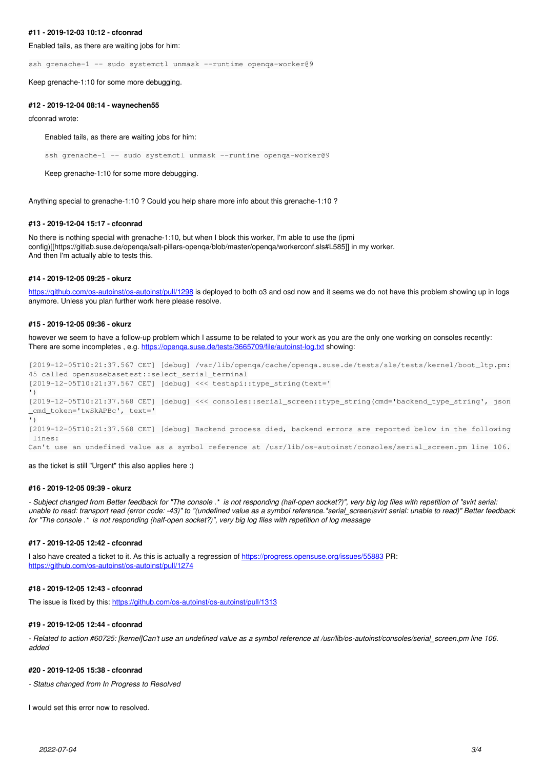#### **#11 - 2019-12-03 10:12 - cfconrad**

Enabled tails, as there are waiting jobs for him:

ssh grenache-1 -- sudo systemctl unmask --runtime openqa-worker@9

Keep grenache-1:10 for some more debugging.

#### **#12 - 2019-12-04 08:14 - waynechen55**

cfconrad wrote:

Enabled tails, as there are waiting jobs for him:

ssh grenache-1 -- sudo systemctl unmask --runtime openqa-worker@9

Keep grenache-1:10 for some more debugging.

Anything special to grenache-1:10 ? Could you help share more info about this grenache-1:10 ?

## **#13 - 2019-12-04 15:17 - cfconrad**

No there is nothing special with grenache-1:10, but when I block this worker, I'm able to use the (ipmi config)[[https://gitlab.suse.de/openqa/salt-pillars-openqa/blob/master/openqa/workerconf.sls#L585]] in my worker. And then I'm actually able to tests this.

#### **#14 - 2019-12-05 09:25 - okurz**

<https://github.com/os-autoinst/os-autoinst/pull/1298>is deployed to both o3 and osd now and it seems we do not have this problem showing up in logs anymore. Unless you plan further work here please resolve.

#### **#15 - 2019-12-05 09:36 - okurz**

however we seem to have a follow-up problem which I assume to be related to your work as you are the only one working on consoles recently: There are some incompletes , e.g. https://openga.suse.de/tests/3665709/file/autoinst-log.txt showing:

```
[2019-12-05T10:21:37.567 CET] [debug] /var/lib/openqa/cache/openqa.suse.de/tests/sle/tests/kernel/boot_ltp.pm:
45 called opensusebasetest::select_serial_terminal
[2019-12-05T10:21:37.567 CET] [debug] <<< testapi::type_string(text='
')
[2019-12-05T10:21:37.568 CET] [debug] <<< consoles::serial_screen::type_string(cmd='backend_type_string', json
_cmd_token='twSkAPBc', text='
')
[2019-12-05T10:21:37.568 CET] [debug] Backend process died, backend errors are reported below in the following
 lines:
```
Can't use an undefined value as a symbol reference at /usr/lib/os-autoinst/consoles/serial\_screen.pm line 106.

as the ticket is still "Urgent" this also applies here :)

#### **#16 - 2019-12-05 09:39 - okurz**

*- Subject changed from Better feedback for "The console .\* is not responding (half-open socket?)", very big log files with repetition of "svirt serial: unable to read: transport read (error code: -43)" to "(undefined value as a symbol reference.\*serial\_screen|svirt serial: unable to read)" Better feedback for "The console .\* is not responding (half-open socket?)", very big log files with repetition of log message*

# **#17 - 2019-12-05 12:42 - cfconrad**

I also have created a ticket to it. As this is actually a regression of <https://progress.opensuse.org/issues/55883>PR: <https://github.com/os-autoinst/os-autoinst/pull/1274>

### **#18 - 2019-12-05 12:43 - cfconrad**

The issue is fixed by this: <https://github.com/os-autoinst/os-autoinst/pull/1313>

## **#19 - 2019-12-05 12:44 - cfconrad**

*- Related to action #60725: [kernel]Can't use an undefined value as a symbol reference at /usr/lib/os-autoinst/consoles/serial\_screen.pm line 106. added*

#### **#20 - 2019-12-05 15:38 - cfconrad**

*- Status changed from In Progress to Resolved*

I would set this error now to resolved.